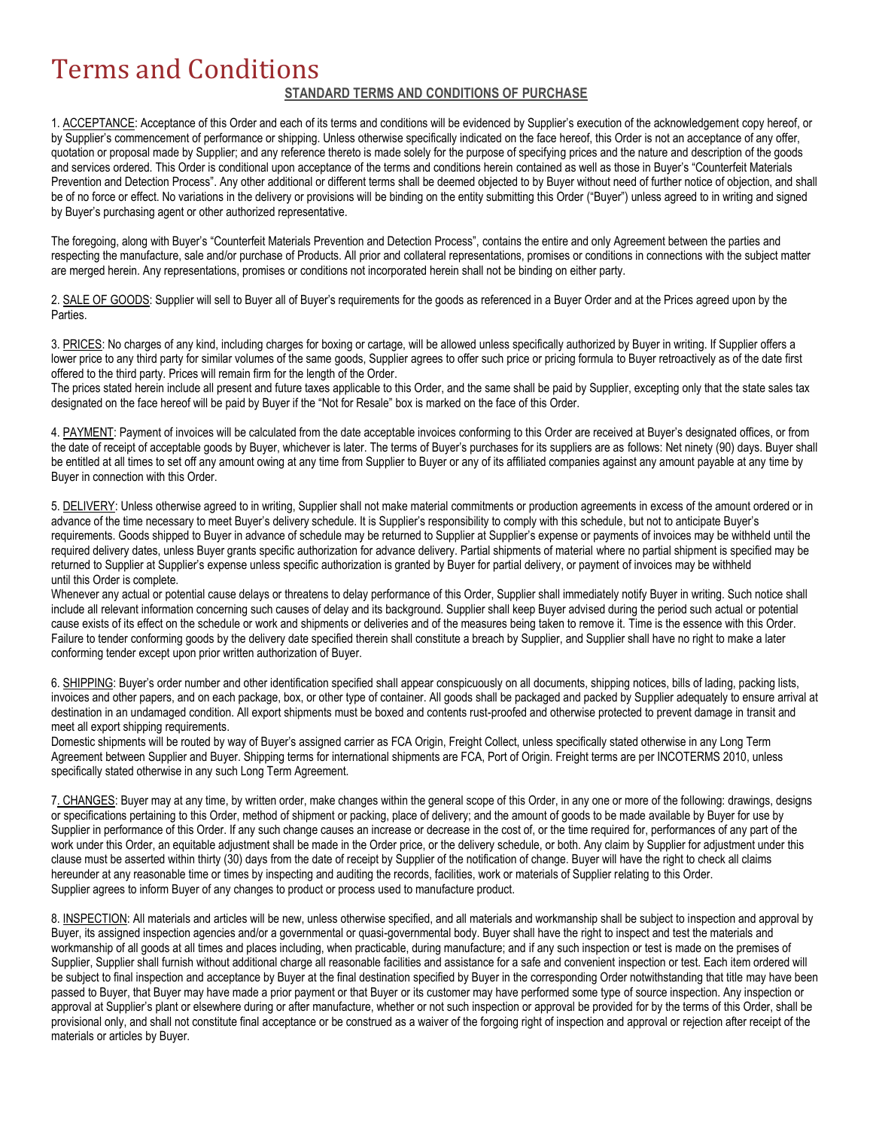## Terms and Conditions

## **STANDARD TERMS AND CONDITIONS OF PURCHASE**

1. ACCEPTANCE: Acceptance of this Order and each of its terms and conditions will be evidenced by Supplier's execution of the acknowledgement copy hereof, or by Supplier's commencement of performance or shipping. Unless otherwise specifically indicated on the face hereof, this Order is not an acceptance of any offer, quotation or proposal made by Supplier; and any reference thereto is made solely for the purpose of specifying prices and the nature and description of the goods and services ordered. This Order is conditional upon acceptance of the terms and conditions herein contained as well as those in Buyer's "Counterfeit Materials Prevention and Detection Process". Any other additional or different terms shall be deemed objected to by Buyer without need of further notice of objection, and shall be of no force or effect. No variations in the delivery or provisions will be binding on the entity submitting this Order ("Buyer") unless agreed to in writing and signed by Buyer's purchasing agent or other authorized representative.

The foregoing, along with Buyer's "Counterfeit Materials Prevention and Detection Process", contains the entire and only Agreement between the parties and respecting the manufacture, sale and/or purchase of Products. All prior and collateral representations, promises or conditions in connections with the subject matter are merged herein. Any representations, promises or conditions not incorporated herein shall not be binding on either party.

2. SALE OF GOODS: Supplier will sell to Buyer all of Buyer's requirements for the goods as referenced in a Buyer Order and at the Prices agreed upon by the Parties.

3. PRICES: No charges of any kind, including charges for boxing or cartage, will be allowed unless specifically authorized by Buyer in writing. If Supplier offers a lower price to any third party for similar volumes of the same goods, Supplier agrees to offer such price or pricing formula to Buyer retroactively as of the date first offered to the third party. Prices will remain firm for the length of the Order.

The prices stated herein include all present and future taxes applicable to this Order, and the same shall be paid by Supplier, excepting only that the state sales tax designated on the face hereof will be paid by Buyer if the "Not for Resale" box is marked on the face of this Order.

4. PAYMENT: Payment of invoices will be calculated from the date acceptable invoices conforming to this Order are received at Buyer's designated offices, or from the date of receipt of acceptable goods by Buyer, whichever is later. The terms of Buyer's purchases for its suppliers are as follows: Net ninety (90) days. Buyer shall be entitled at all times to set off any amount owing at any time from Supplier to Buyer or any of its affiliated companies against any amount payable at any time by Buyer in connection with this Order.

5. DELIVERY: Unless otherwise agreed to in writing, Supplier shall not make material commitments or production agreements in excess of the amount ordered or in advance of the time necessary to meet Buyer's delivery schedule. It is Supplier's responsibility to comply with this schedule, but not to anticipate Buyer's requirements. Goods shipped to Buyer in advance of schedule may be returned to Supplier at Supplier's expense or payments of invoices may be withheld until the required delivery dates, unless Buyer grants specific authorization for advance delivery. Partial shipments of material where no partial shipment is specified may be returned to Supplier at Supplier's expense unless specific authorization is granted by Buyer for partial delivery, or payment of invoices may be withheld until this Order is complete.

Whenever any actual or potential cause delays or threatens to delay performance of this Order, Supplier shall immediately notify Buyer in writing. Such notice shall include all relevant information concerning such causes of delay and its background. Supplier shall keep Buyer advised during the period such actual or potential cause exists of its effect on the schedule or work and shipments or deliveries and of the measures being taken to remove it. Time is the essence with this Order. Failure to tender conforming goods by the delivery date specified therein shall constitute a breach by Supplier, and Supplier shall have no right to make a later conforming tender except upon prior written authorization of Buyer.

6. SHIPPING: Buyer's order number and other identification specified shall appear conspicuously on all documents, shipping notices, bills of lading, packing lists, invoices and other papers, and on each package, box, or other type of container. All goods shall be packaged and packed by Supplier adequately to ensure arrival at destination in an undamaged condition. All export shipments must be boxed and contents rust-proofed and otherwise protected to prevent damage in transit and meet all export shipping requirements.

Domestic shipments will be routed by way of Buyer's assigned carrier as FCA Origin, Freight Collect, unless specifically stated otherwise in any Long Term Agreement between Supplier and Buyer. Shipping terms for international shipments are FCA, Port of Origin. Freight terms are per INCOTERMS 2010, unless specifically stated otherwise in any such Long Term Agreement.

7. CHANGES: Buyer may at any time, by written order, make changes within the general scope of this Order, in any one or more of the following: drawings, designs or specifications pertaining to this Order, method of shipment or packing, place of delivery; and the amount of goods to be made available by Buyer for use by Supplier in performance of this Order. If any such change causes an increase or decrease in the cost of, or the time required for, performances of any part of the work under this Order, an equitable adjustment shall be made in the Order price, or the delivery schedule, or both. Any claim by Supplier for adjustment under this clause must be asserted within thirty (30) days from the date of receipt by Supplier of the notification of change. Buyer will have the right to check all claims hereunder at any reasonable time or times by inspecting and auditing the records, facilities, work or materials of Supplier relating to this Order. Supplier agrees to inform Buyer of any changes to product or process used to manufacture product.

8. INSPECTION: All materials and articles will be new, unless otherwise specified, and all materials and workmanship shall be subject to inspection and approval by Buyer, its assigned inspection agencies and/or a governmental or quasi-governmental body. Buyer shall have the right to inspect and test the materials and workmanship of all goods at all times and places including, when practicable, during manufacture; and if any such inspection or test is made on the premises of Supplier, Supplier shall furnish without additional charge all reasonable facilities and assistance for a safe and convenient inspection or test. Each item ordered will be subject to final inspection and acceptance by Buyer at the final destination specified by Buyer in the corresponding Order notwithstanding that title may have been passed to Buyer, that Buyer may have made a prior payment or that Buyer or its customer may have performed some type of source inspection. Any inspection or approval at Supplier's plant or elsewhere during or after manufacture, whether or not such inspection or approval be provided for by the terms of this Order, shall be provisional only, and shall not constitute final acceptance or be construed as a waiver of the forgoing right of inspection and approval or rejection after receipt of the materials or articles by Buyer.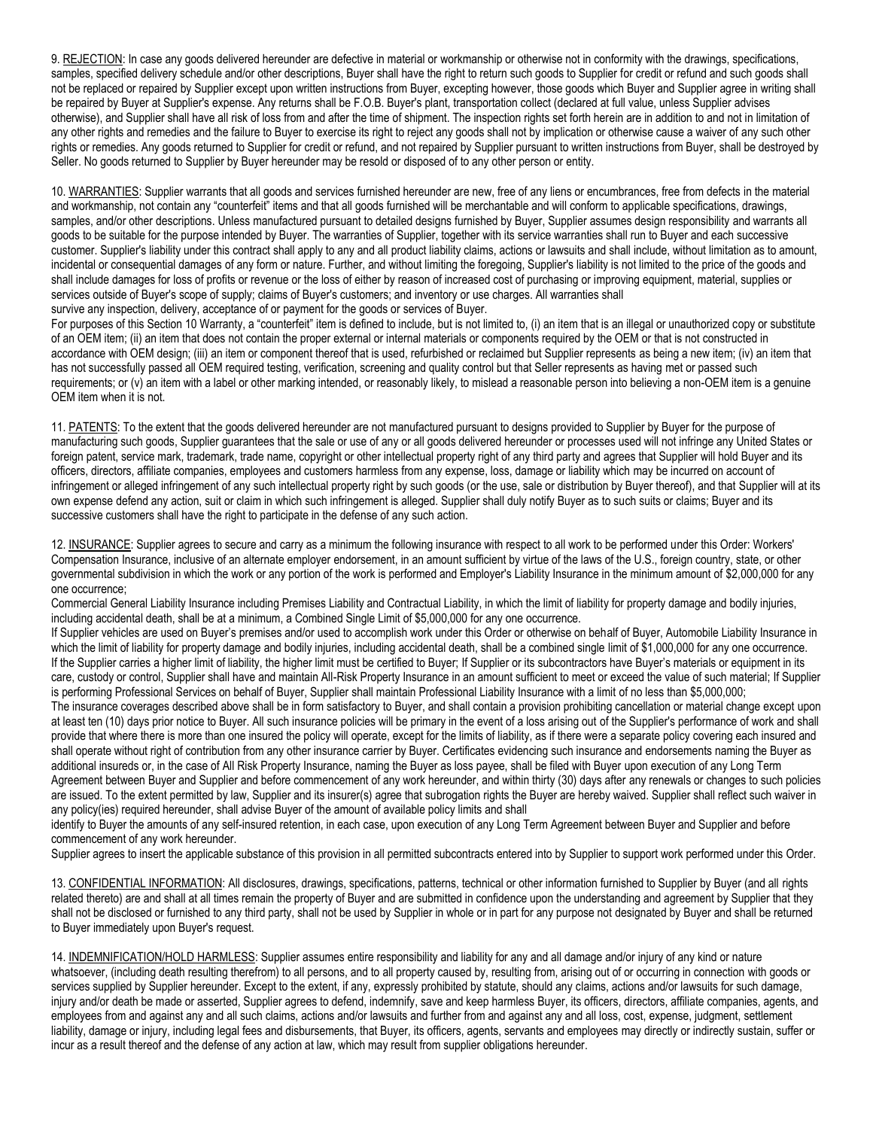9. REJECTION: In case any goods delivered hereunder are defective in material or workmanship or otherwise not in conformity with the drawings, specifications, samples, specified delivery schedule and/or other descriptions, Buyer shall have the right to return such goods to Supplier for credit or refund and such goods shall not be replaced or repaired by Supplier except upon written instructions from Buyer, excepting however, those goods which Buyer and Supplier agree in writing shall be repaired by Buyer at Supplier's expense. Any returns shall be F.O.B. Buyer's plant, transportation collect (declared at full value, unless Supplier advises otherwise), and Supplier shall have all risk of loss from and after the time of shipment. The inspection rights set forth herein are in addition to and not in limitation of any other rights and remedies and the failure to Buyer to exercise its right to reject any goods shall not by implication or otherwise cause a waiver of any such other rights or remedies. Any goods returned to Supplier for credit or refund, and not repaired by Supplier pursuant to written instructions from Buyer, shall be destroyed by Seller. No goods returned to Supplier by Buyer hereunder may be resold or disposed of to any other person or entity.

10. WARRANTIES: Supplier warrants that all goods and services furnished hereunder are new, free of any liens or encumbrances, free from defects in the material and workmanship, not contain any "counterfeit" items and that all goods furnished will be merchantable and will conform to applicable specifications, drawings, samples, and/or other descriptions. Unless manufactured pursuant to detailed designs furnished by Buyer, Supplier assumes design responsibility and warrants all goods to be suitable for the purpose intended by Buyer. The warranties of Supplier, together with its service warranties shall run to Buyer and each successive customer. Supplier's liability under this contract shall apply to any and all product liability claims, actions or lawsuits and shall include, without limitation as to amount, incidental or consequential damages of any form or nature. Further, and without limiting the foregoing, Supplier's liability is not limited to the price of the goods and shall include damages for loss of profits or revenue or the loss of either by reason of increased cost of purchasing or improving equipment, material, supplies or services outside of Buyer's scope of supply; claims of Buyer's customers; and inventory or use charges. All warranties shall survive any inspection, delivery, acceptance of or payment for the goods or services of Buyer.

For purposes of this Section 10 Warranty, a "counterfeit" item is defined to include, but is not limited to, (i) an item that is an illegal or unauthorized copy or substitute of an OEM item; (ii) an item that does not contain the proper external or internal materials or components required by the OEM or that is not constructed in accordance with OEM design; (iii) an item or component thereof that is used, refurbished or reclaimed but Supplier represents as being a new item; (iv) an item that has not successfully passed all OEM required testing, verification, screening and quality control but that Seller represents as having met or passed such requirements; or (v) an item with a label or other marking intended, or reasonably likely, to mislead a reasonable person into believing a non-OEM item is a genuine OEM item when it is not.

11. PATENTS: To the extent that the goods delivered hereunder are not manufactured pursuant to designs provided to Supplier by Buyer for the purpose of manufacturing such goods, Supplier guarantees that the sale or use of any or all goods delivered hereunder or processes used will not infringe any United States or foreign patent, service mark, trademark, trade name, copyright or other intellectual property right of any third party and agrees that Supplier will hold Buyer and its officers, directors, affiliate companies, employees and customers harmless from any expense, loss, damage or liability which may be incurred on account of infringement or alleged infringement of any such intellectual property right by such goods (or the use, sale or distribution by Buyer thereof), and that Supplier will at its own expense defend any action, suit or claim in which such infringement is alleged. Supplier shall duly notify Buyer as to such suits or claims; Buyer and its successive customers shall have the right to participate in the defense of any such action.

12. INSURANCE: Supplier agrees to secure and carry as a minimum the following insurance with respect to all work to be performed under this Order: Workers' Compensation Insurance, inclusive of an alternate employer endorsement, in an amount sufficient by virtue of the laws of the U.S., foreign country, state, or other governmental subdivision in which the work or any portion of the work is performed and Employer's Liability Insurance in the minimum amount of \$2,000,000 for any one occurrence;

Commercial General Liability Insurance including Premises Liability and Contractual Liability, in which the limit of liability for property damage and bodily injuries, including accidental death, shall be at a minimum, a Combined Single Limit of \$5,000,000 for any one occurrence.

If Supplier vehicles are used on Buyer's premises and/or used to accomplish work under this Order or otherwise on behalf of Buyer, Automobile Liability Insurance in which the limit of liability for property damage and bodily injuries, including accidental death, shall be a combined single limit of \$1,000,000 for any one occurrence. If the Supplier carries a higher limit of liability, the higher limit must be certified to Buyer; If Supplier or its subcontractors have Buyer's materials or equipment in its care, custody or control, Supplier shall have and maintain All-Risk Property Insurance in an amount sufficient to meet or exceed the value of such material; If Supplier is performing Professional Services on behalf of Buyer, Supplier shall maintain Professional Liability Insurance with a limit of no less than \$5,000,000;

The insurance coverages described above shall be in form satisfactory to Buyer, and shall contain a provision prohibiting cancellation or material change except upon at least ten (10) days prior notice to Buyer. All such insurance policies will be primary in the event of a loss arising out of the Supplier's performance of work and shall provide that where there is more than one insured the policy will operate, except for the limits of liability, as if there were a separate policy covering each insured and shall operate without right of contribution from any other insurance carrier by Buyer. Certificates evidencing such insurance and endorsements naming the Buyer as additional insureds or, in the case of All Risk Property Insurance, naming the Buyer as loss payee, shall be filed with Buyer upon execution of any Long Term Agreement between Buyer and Supplier and before commencement of any work hereunder, and within thirty (30) days after any renewals or changes to such policies are issued. To the extent permitted by law, Supplier and its insurer(s) agree that subrogation rights the Buyer are hereby waived. Supplier shall reflect such waiver in any policy(ies) required hereunder, shall advise Buyer of the amount of available policy limits and shall

identify to Buyer the amounts of any self-insured retention, in each case, upon execution of any Long Term Agreement between Buyer and Supplier and before commencement of any work hereunder.

Supplier agrees to insert the applicable substance of this provision in all permitted subcontracts entered into by Supplier to support work performed under this Order.

13. CONFIDENTIAL INFORMATION: All disclosures, drawings, specifications, patterns, technical or other information furnished to Supplier by Buyer (and all rights related thereto) are and shall at all times remain the property of Buyer and are submitted in confidence upon the understanding and agreement by Supplier that they shall not be disclosed or furnished to any third party, shall not be used by Supplier in whole or in part for any purpose not designated by Buyer and shall be returned to Buyer immediately upon Buyer's request.

14. INDEMNIFICATION/HOLD HARMLESS: Supplier assumes entire responsibility and liability for any and all damage and/or injury of any kind or nature whatsoever, (including death resulting therefrom) to all persons, and to all property caused by, resulting from, arising out of or occurring in connection with goods or services supplied by Supplier hereunder. Except to the extent, if any, expressly prohibited by statute, should any claims, actions and/or lawsuits for such damage, injury and/or death be made or asserted, Supplier agrees to defend, indemnify, save and keep harmless Buyer, its officers, directors, affiliate companies, agents, and employees from and against any and all such claims, actions and/or lawsuits and further from and against any and all loss, cost, expense, judgment, settlement liability, damage or injury, including legal fees and disbursements, that Buyer, its officers, agents, servants and employees may directly or indirectly sustain, suffer or incur as a result thereof and the defense of any action at law, which may result from supplier obligations hereunder.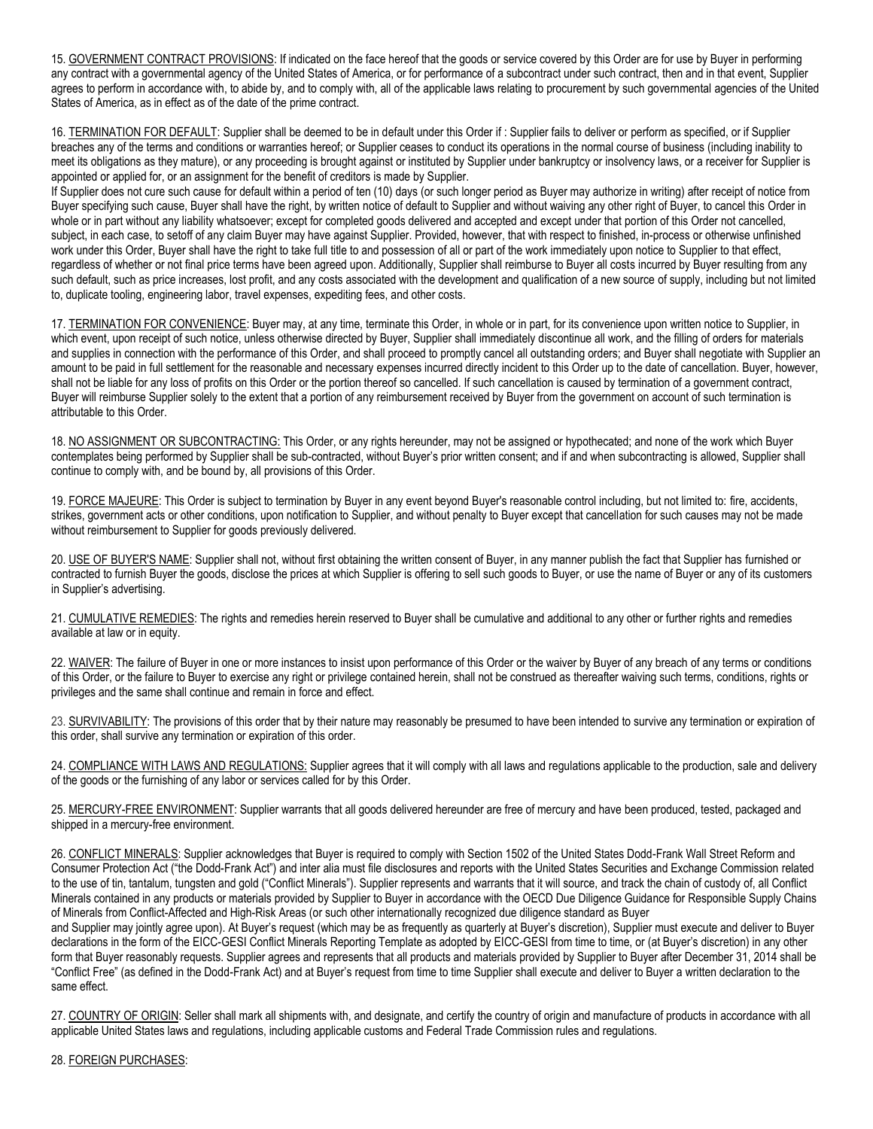15. GOVERNMENT CONTRACT PROVISIONS: If indicated on the face hereof that the goods or service covered by this Order are for use by Buyer in performing any contract with a governmental agency of the United States of America, or for performance of a subcontract under such contract, then and in that event, Supplier agrees to perform in accordance with, to abide by, and to comply with, all of the applicable laws relating to procurement by such governmental agencies of the United States of America, as in effect as of the date of the prime contract.

16. TERMINATION FOR DEFAULT: Supplier shall be deemed to be in default under this Order if : Supplier fails to deliver or perform as specified, or if Supplier breaches any of the terms and conditions or warranties hereof; or Supplier ceases to conduct its operations in the normal course of business (including inability to meet its obligations as they mature), or any proceeding is brought against or instituted by Supplier under bankruptcy or insolvency laws, or a receiver for Supplier is appointed or applied for, or an assignment for the benefit of creditors is made by Supplier.

If Supplier does not cure such cause for default within a period of ten (10) days (or such longer period as Buyer may authorize in writing) after receipt of notice from Buyer specifying such cause, Buyer shall have the right, by written notice of default to Supplier and without waiving any other right of Buyer, to cancel this Order in whole or in part without any liability whatsoever; except for completed goods delivered and accepted and except under that portion of this Order not cancelled, subject, in each case, to setoff of any claim Buyer may have against Supplier. Provided, however, that with respect to finished, in-process or otherwise unfinished work under this Order, Buyer shall have the right to take full title to and possession of all or part of the work immediately upon notice to Supplier to that effect, regardless of whether or not final price terms have been agreed upon. Additionally, Supplier shall reimburse to Buyer all costs incurred by Buyer resulting from any such default, such as price increases, lost profit, and any costs associated with the development and qualification of a new source of supply, including but not limited to, duplicate tooling, engineering labor, travel expenses, expediting fees, and other costs.

17. TERMINATION FOR CONVENIENCE: Buyer may, at any time, terminate this Order, in whole or in part, for its convenience upon written notice to Supplier, in which event, upon receipt of such notice, unless otherwise directed by Buyer, Supplier shall immediately discontinue all work, and the filling of orders for materials and supplies in connection with the performance of this Order, and shall proceed to promptly cancel all outstanding orders; and Buyer shall negotiate with Supplier an amount to be paid in full settlement for the reasonable and necessary expenses incurred directly incident to this Order up to the date of cancellation. Buyer, however, shall not be liable for any loss of profits on this Order or the portion thereof so cancelled. If such cancellation is caused by termination of a government contract, Buyer will reimburse Supplier solely to the extent that a portion of any reimbursement received by Buyer from the government on account of such termination is attributable to this Order.

18. NO ASSIGNMENT OR SUBCONTRACTING: This Order, or any rights hereunder, may not be assigned or hypothecated; and none of the work which Buyer contemplates being performed by Supplier shall be sub-contracted, without Buyer's prior written consent; and if and when subcontracting is allowed, Supplier shall continue to comply with, and be bound by, all provisions of this Order.

19. FORCE MAJEURE: This Order is subject to termination by Buyer in any event beyond Buyer's reasonable control including, but not limited to: fire, accidents, strikes, government acts or other conditions, upon notification to Supplier, and without penalty to Buyer except that cancellation for such causes may not be made without reimbursement to Supplier for goods previously delivered.

20. USE OF BUYER'S NAME: Supplier shall not, without first obtaining the written consent of Buyer, in any manner publish the fact that Supplier has furnished or contracted to furnish Buyer the goods, disclose the prices at which Supplier is offering to sell such goods to Buyer, or use the name of Buyer or any of its customers in Supplier's advertising.

21. CUMULATIVE REMEDIES: The rights and remedies herein reserved to Buyer shall be cumulative and additional to any other or further rights and remedies available at law or in equity.

22. WAIVER: The failure of Buyer in one or more instances to insist upon performance of this Order or the waiver by Buyer of any breach of any terms or conditions of this Order, or the failure to Buyer to exercise any right or privilege contained herein, shall not be construed as thereafter waiving such terms, conditions, rights or privileges and the same shall continue and remain in force and effect.

23. SURVIVABILITY: The provisions of this order that by their nature may reasonably be presumed to have been intended to survive any termination or expiration of this order, shall survive any termination or expiration of this order.

24. COMPLIANCE WITH LAWS AND REGULATIONS: Supplier agrees that it will comply with all laws and regulations applicable to the production, sale and delivery of the goods or the furnishing of any labor or services called for by this Order.

25. MERCURY-FREE ENVIRONMENT: Supplier warrants that all goods delivered hereunder are free of mercury and have been produced, tested, packaged and shipped in a mercury-free environment.

26. CONFLICT MINERALS: Supplier acknowledges that Buyer is required to comply with Section 1502 of the United States Dodd-Frank Wall Street Reform and Consumer Protection Act ("the Dodd-Frank Act") and inter alia must file disclosures and reports with the United States Securities and Exchange Commission related to the use of tin, tantalum, tungsten and gold ("Conflict Minerals"). Supplier represents and warrants that it will source, and track the chain of custody of, all Conflict Minerals contained in any products or materials provided by Supplier to Buyer in accordance with the OECD Due Diligence Guidance for Responsible Supply Chains of Minerals from Conflict-Affected and High-Risk Areas (or such other internationally recognized due diligence standard as Buyer

and Supplier may jointly agree upon). At Buyer's request (which may be as frequently as quarterly at Buyer's discretion), Supplier must execute and deliver to Buyer declarations in the form of the EICC-GESI Conflict Minerals Reporting Template as adopted by EICC-GESI from time to time, or (at Buyer's discretion) in any other form that Buyer reasonably requests. Supplier agrees and represents that all products and materials provided by Supplier to Buyer after December 31, 2014 shall be "Conflict Free" (as defined in the Dodd-Frank Act) and at Buyer's request from time to time Supplier shall execute and deliver to Buyer a written declaration to the same effect.

27. COUNTRY OF ORIGIN: Seller shall mark all shipments with, and designate, and certify the country of origin and manufacture of products in accordance with all applicable United States laws and regulations, including applicable customs and Federal Trade Commission rules and regulations.

## 28. FOREIGN PURCHASES: